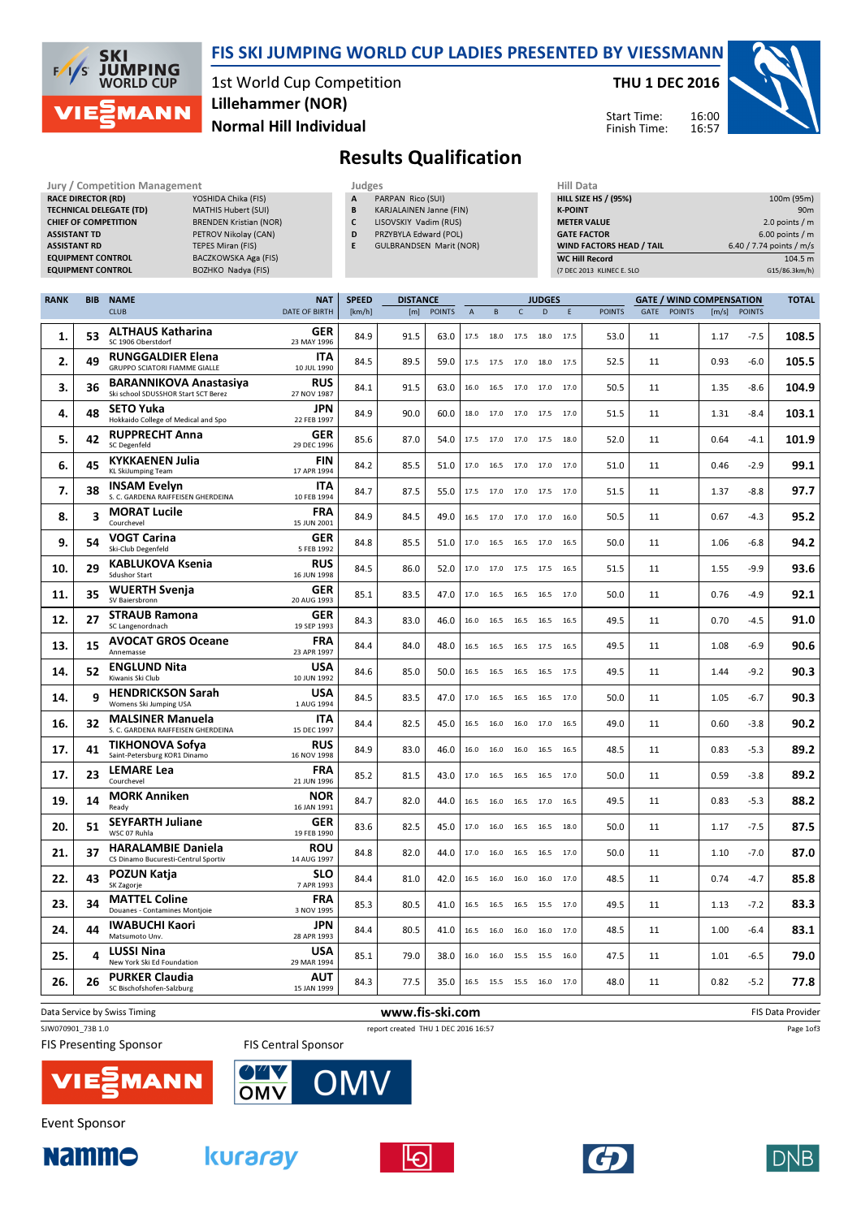

#### FIS SKI JUMPING WORLD CUP LADIES PRESENTED BY VIESSMANN

1st World Cup Competition Normal Hill Individual Lillehammer (NOR)

THU 1 DEC 2016

Start Time: Finish Time:



# Results Qualification

| Jury / Competition Management                                                                                                            |                                                                                                                                 | Judges           |                                                                                                                                         |                                                                               |  |  |  |
|------------------------------------------------------------------------------------------------------------------------------------------|---------------------------------------------------------------------------------------------------------------------------------|------------------|-----------------------------------------------------------------------------------------------------------------------------------------|-------------------------------------------------------------------------------|--|--|--|
| <b>RACE DIRECTOR (RD)</b><br><b>TECHNICAL DELEGATE (TD)</b><br><b>CHIEF OF COMPETITION</b><br><b>ASSISTANT TD</b><br><b>ASSISTANT RD</b> | YOSHIDA Chika (FIS)<br>MATHIS Hubert (SUI)<br><b>BRENDEN Kristian (NOR)</b><br>PETROV Nikolay (CAN)<br><b>TEPES Miran (FIS)</b> | A<br>B<br>D<br>E | PARPAN Rico (SUI)<br><b>KARJALAINEN Janne (FIN)</b><br>LISOVSKIY Vadim (RUS)<br>PRZYBYLA Edward (POL)<br><b>GULBRANDSEN Marit (NOR)</b> | <b>HILL SI</b><br><b>K-POII</b><br><b>METER</b><br><b>GATE</b><br><b>WIND</b> |  |  |  |
| <b>EQUIPMENT CONTROL</b><br><b>EQUIPMENT CONTROL</b>                                                                                     | BACZKOWSKA Aga (FIS)<br>BOZHKO Nadya (FIS)                                                                                      |                  |                                                                                                                                         | WC Hi<br>(7 DEC 2                                                             |  |  |  |

- PARPAN Rico (SUI) B KARJALAINEN Janne (FIN)
- C LISOVSKIY Vadim (RUS) D PRZYBYLA Edward (POL)
- E GULBRANDSEN Marit (NOR)
	-

| Hill Data                       |                          |
|---------------------------------|--------------------------|
| <b>HILL SIZE HS / (95%)</b>     | 100m (95m)               |
| <b>K-POINT</b>                  | 90 <sub>m</sub>          |
| <b>METER VALUE</b>              | 2.0 points $/m$          |
| <b>GATE FACTOR</b>              | $6.00$ points / m        |
| <b>WIND FACTORS HEAD / TAIL</b> | 6.40 / 7.74 points / m/s |
| <b>WC Hill Record</b>           | 104.5 m                  |
| (7 DEC 2013 KLINEC E. SLO       | G15/86.3km/h)            |

16:00 16:57

| <b>RANK</b> | <b>BIB</b>              | <b>NAME</b>                                                          | <b>NAT</b>                | <b>SPEED</b> | <b>DISTANCE</b> |               | <b>JUDGES</b><br><b>GATE / WIND COMPENSATION</b> |                          |              |                |      | <b>TOTAL</b>  |      |               |       |               |                   |
|-------------|-------------------------|----------------------------------------------------------------------|---------------------------|--------------|-----------------|---------------|--------------------------------------------------|--------------------------|--------------|----------------|------|---------------|------|---------------|-------|---------------|-------------------|
|             |                         | <b>CLUB</b>                                                          | <b>DATE OF BIRTH</b>      | [km/h]       | [m]             | <b>POINTS</b> | $\overline{A}$                                   | B                        | $\mathsf{C}$ | D              | E    | <b>POINTS</b> | GATE | <b>POINTS</b> | [m/s] | <b>POINTS</b> |                   |
| 1.          | 53                      | <b>ALTHAUS Katharina</b><br>SC 1906 Oberstdorf                       | GER<br>23 MAY 1996        | 84.9         | 91.5            | 63.0          | 17.5                                             | 18.0                     | 17.5         | 18.0           | 17.5 | 53.0          | 11   |               | 1.17  | $-7.5$        | 108.5             |
| 2.          | 49                      | <b>RUNGGALDIER Elena</b><br><b>GRUPPO SCIATORI FIAMME GIALLE</b>     | ITA<br>10 JUL 1990        | 84.5         | 89.5            | 59.0          | 17.5                                             | 17.5                     | 17.0         | 18.0           | 17.5 | 52.5          | 11   |               | 0.93  | $-6.0$        | 105.5             |
| 3.          | 36                      | <b>BARANNIKOVA Anastasiya</b><br>Ski school SDUSSHOR Start SCT Berez | <b>RUS</b><br>27 NOV 1987 | 84.1         | 91.5            | 63.0          | 16.0                                             | 16.5                     | 17.0         | 17.0           | 17.0 | 50.5          | 11   |               | 1.35  | $-8.6$        | 104.9             |
| 4.          | 48                      | <b>SETO Yuka</b><br>Hokkaido College of Medical and Spo              | <b>JPN</b><br>22 FEB 1997 | 84.9         | 90.0            | 60.0          | 18.0                                             | 17.0                     |              | 17.0 17.5      | 17.0 | 51.5          | 11   |               | 1.31  | $-8.4$        | 103.1             |
| 5.          | 42                      | <b>RUPPRECHT Anna</b><br>SC Degenfeld                                | GER<br>29 DEC 1996        | 85.6         | 87.0            | 54.0          |                                                  | 17.5 17.0 17.0 17.5      |              |                | 18.0 | 52.0          | 11   |               | 0.64  | $-4.1$        | 101.9             |
| 6.          | 45                      | <b>KYKKAENEN Julia</b><br><b>KL SkiJumping Team</b>                  | <b>FIN</b><br>17 APR 1994 | 84.2         | 85.5            | 51.0          | 17.0                                             | 16.5                     | 17.0         | 17.0           | 17.0 | 51.0          | 11   |               | 0.46  | $-2.9$        | 99.1              |
| 7.          | 38                      | <b>INSAM Evelyn</b><br>S. C. GARDENA RAIFFEISEN GHERDEINA            | <b>ITA</b><br>10 FEB 1994 | 84.7         | 87.5            | 55.0          |                                                  | 17.5 17.0 17.0 17.5 17.0 |              |                |      | 51.5          | 11   |               | 1.37  | -8.8          | 97.7              |
| 8.          | $\overline{\mathbf{3}}$ | <b>MORAT Lucile</b><br>Courchevel                                    | <b>FRA</b><br>15 JUN 2001 | 84.9         | 84.5            | 49.0          | 16.5                                             | 17.0 17.0 17.0           |              |                | 16.0 | 50.5          | 11   |               | 0.67  | $-4.3$        | 95.2              |
| 9.          | 54                      | <b>VOGT Carina</b><br>Ski-Club Degenfeld                             | <b>GER</b><br>5 FEB 1992  | 84.8         | 85.5            | 51.0          | 17.0                                             | 16.5                     | 16.5         | 17.0           | 16.5 | 50.0          | 11   |               | 1.06  | -6.8          | 94.2              |
| 10.         | 29                      | <b>KABLUKOVA Ksenia</b><br><b>Sdushor Start</b>                      | <b>RUS</b><br>16 JUN 1998 | 84.5         | 86.0            | 52.0          | 17.0                                             | 17.0                     |              | 17.5 17.5      | 16.5 | 51.5          | 11   |               | 1.55  | $-9.9$        | 93.6              |
| 11.         | 35                      | <b>WUERTH Svenja</b><br>SV Baiersbronn                               | GER<br>20 AUG 1993        | 85.1         | 83.5            | 47.0          | 17.0                                             | 16.5                     |              | 16.5 16.5      | 17.0 | 50.0          | 11   |               | 0.76  | $-4.9$        | 92.1              |
| 12.         | 27                      | <b>STRAUB Ramona</b><br>SC Langenordnach                             | GER<br>19 SEP 1993        | 84.3         | 83.0            | 46.0          | 16.0                                             | 16.5                     | 16.5         | 16.5           | 16.5 | 49.5          | 11   |               | 0.70  | -4.5          | 91.0              |
| 13.         | 15                      | <b>AVOCAT GROS Oceane</b><br>Annemasse                               | <b>FRA</b><br>23 APR 1997 | 84.4         | 84.0            | 48.0          | 16.5                                             | 16.5                     |              | 16.5 17.5      | 16.5 | 49.5          | 11   |               | 1.08  | $-6.9$        | 90.6              |
| 14.         | 52                      | <b>ENGLUND Nita</b><br>Kiwanis Ski Club                              | USA<br>10 JUN 1992        | 84.6         | 85.0            | 50.0          | 16.5                                             | 16.5                     |              | 16.5 16.5      | 17.5 | 49.5          | 11   |               | 1.44  | $-9.2$        | 90.3              |
| 14.         | 9                       | <b>HENDRICKSON Sarah</b><br>Womens Ski Jumping USA                   | <b>USA</b><br>1 AUG 1994  | 84.5         | 83.5            | 47.0          | 17.0                                             | 16.5                     | 16.5         | 16.5           | 17.0 | 50.0          | 11   |               | 1.05  | -6.7          | 90.3              |
| 16.         | 32                      | <b>MALSINER Manuela</b><br>S. C. GARDENA RAIFFEISEN GHERDEINA        | ITA<br>15 DEC 1997        | 84.4         | 82.5            | 45.0          | 16.5                                             | 16.0                     | 16.0         | 17.0           | 16.5 | 49.0          | 11   |               | 0.60  | $-3.8$        | 90.2              |
| 17.         | 41                      | TIKHONOVA Sofya<br>Saint-Petersburg KOR1 Dinamo                      | <b>RUS</b><br>16 NOV 1998 | 84.9         | 83.0            | 46.0          | 16.0                                             | 16.0                     | 16.0         | 16.5           | 16.5 | 48.5          | 11   |               | 0.83  | $-5.3$        | 89.2              |
| 17.         | 23                      | <b>LEMARE Lea</b><br>Courchevel                                      | <b>FRA</b><br>21 JUN 1996 | 85.2         | 81.5            | 43.0          | 17.0                                             | 16.5                     | 16.5         | 16.5           | 17.0 | 50.0          | 11   |               | 0.59  | $-3.8$        | 89.2              |
| 19.         | 14                      | <b>MORK Anniken</b><br>Ready                                         | <b>NOR</b><br>16 JAN 1991 | 84.7         | 82.0            | 44.0          | 16.5                                             | 16.0                     | 16.5 17.0    |                | 16.5 | 49.5          | 11   |               | 0.83  | $-5.3$        | 88.2              |
| 20.         | 51                      | <b>SEYFARTH Juliane</b><br>WSC 07 Ruhla                              | GER<br>19 FEB 1990        | 83.6         | 82.5            | 45.0          | 17.0                                             | 16.0                     | 16.5         | 16.5           | 18.0 | 50.0          | 11   |               | 1.17  | $-7.5$        | 87.5              |
| 21.         | 37                      | <b>HARALAMBIE Daniela</b><br>CS Dinamo Bucuresti-Centrul Sportiv     | <b>ROU</b><br>14 AUG 1997 | 84.8         | 82.0            | 44.0          | 17.0                                             | 16.0                     | 16.5         | 16.5           | 17.0 | 50.0          | 11   |               | 1.10  | $-7.0$        | 87.0              |
| 22.         | 43                      | <b>POZUN Katja</b><br>SK Zagorje                                     | <b>SLO</b><br>7 APR 1993  | 84.4         | 81.0            | 42.0          | 16.5                                             | 16.0                     | 16.0         | 16.0           | 17.0 | 48.5          | 11   |               | 0.74  | $-4.7$        | 85.8              |
| 23.         | 34                      | <b>MATTEL Coline</b><br>Douanes - Contamines Montjoie                | <b>FRA</b><br>3 NOV 1995  | 85.3         | 80.5            | 41.0          | 16.5                                             | 16.5                     |              | 16.5 15.5 17.0 |      | 49.5          | 11   |               | 1.13  | $-7.2$        | 83.3              |
| 24.         | 44                      | <b>IWABUCHI Kaori</b><br>Matsumoto Unv.                              | <b>JPN</b><br>28 APR 1993 | 84.4         | 80.5            | 41.0          | 16.5                                             | 16.0                     | 16.0         | 16.0           | 17.0 | 48.5          | 11   |               | 1.00  | $-6.4$        | 83.1              |
| 25.         | 4                       | <b>LUSSI Nina</b><br>New York Ski Ed Foundation                      | USA<br>29 MAR 1994        | 85.1         | 79.0            | 38.0          | 16.0                                             | 16.0                     | 15.5         | 15.5           | 16.0 | 47.5          | 11   |               | 1.01  | $-6.5$        | 79.0              |
| 26.         | 26                      | <b>PURKER Claudia</b><br>SC Bischofshofen-Salzburg                   | <b>AUT</b><br>15 JAN 1999 | 84.3         | 77.5            | 35.0          |                                                  | 16.5 15.5 15.5 16.0      |              |                | 17.0 | 48.0          | 11   |               | 0.82  | $-5.2$        | 77.8              |
|             |                         | Data Service by Swiss Timing                                         |                           |              | www.fis-ski.com |               |                                                  |                          |              |                |      |               |      |               |       |               | FIS Data Provider |

### SJW070901\_73B 1.0 report created THU 1 DEC 2016 16:57 **FIS Presenting Sponsor**







**/IE** 









**DNB**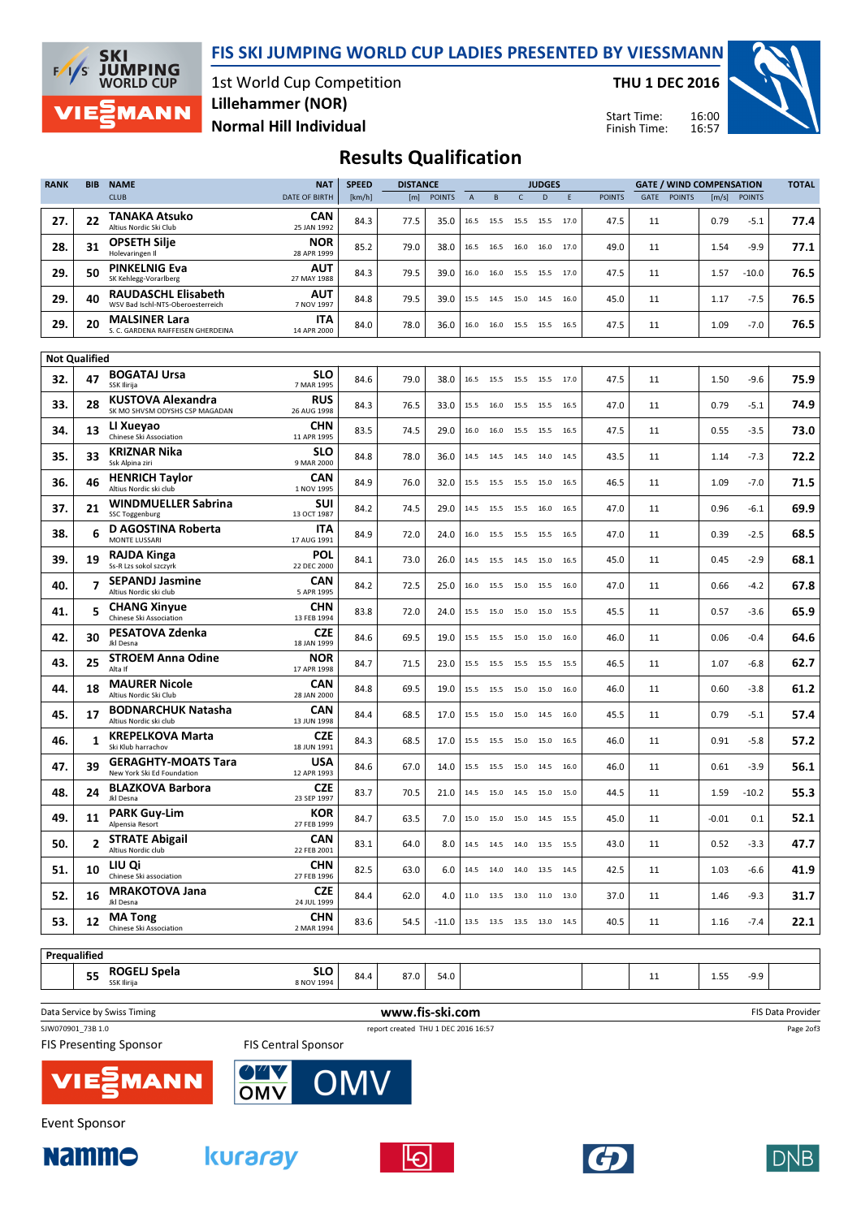FIS SKI JUMPING WORLD CUP LADIES PRESENTED BY VIESSMANN



1st World Cup Competition Normal Hill Individual Lillehammer (NOR)

THU 1 DEC 2016

Start Time: Finish Time: 16:00 16:57



## Results Qualification

| <b>RANK</b>          | <b>BIB</b> | <b>NAME</b>                                                     | <b>NAT</b>                | <b>SPEED</b> | <b>DISTANCE</b> |               | <b>JUDGES</b><br><b>GATE / WIND COMPENSATION</b> |                              |                | <b>TOTAL</b> |        |               |      |               |         |               |      |
|----------------------|------------|-----------------------------------------------------------------|---------------------------|--------------|-----------------|---------------|--------------------------------------------------|------------------------------|----------------|--------------|--------|---------------|------|---------------|---------|---------------|------|
|                      |            | <b>CLUB</b>                                                     | <b>DATE OF BIRTH</b>      | [km/h]       | [m]             | <b>POINTS</b> | $\overline{A}$                                   | B                            | $\mathsf{C}$   | D            | E      | <b>POINTS</b> | GATE | <b>POINTS</b> | [m/s]   | <b>POINTS</b> |      |
| 27.                  | 22         | TANAKA Atsuko<br>Altius Nordic Ski Club                         | CAN<br>25 JAN 1992        | 84.3         | 77.5            | 35.0          | 16.5                                             | 15.5                         | 15.5           | 15.5         | 17.0   | 47.5          | 11   |               | 0.79    | $-5.1$        | 77.4 |
| 28.                  | 31         | <b>OPSETH Silje</b><br>Holevaringen Il                          | <b>NOR</b><br>28 APR 1999 | 85.2         | 79.0            | 38.0          | 16.5                                             | 16.5                         | 16.0           | 16.0         | 17.0   | 49.0          | 11   |               | 1.54    | -9.9          | 77.1 |
| 29.                  | 50         | <b>PINKELNIG Eva</b><br>SK Kehlegg-Vorarlberg                   | AUT<br>27 MAY 1988        | 84.3         | 79.5            | 39.0          | 16.0                                             | 16.0                         |                | 15.5 15.5    | 17.0   | 47.5          | 11   |               | 1.57    | $-10.0$       | 76.5 |
| 29.                  | 40         | <b>RAUDASCHL Elisabeth</b><br>WSV Bad Ischl-NTS-Oberoesterreich | AUT<br>7 NOV 1997         | 84.8         | 79.5            | 39.0          | 15.5                                             | 14.5                         | 15.0           | 14.5         | 16.0   | 45.0          | 11   |               | 1.17    | $-7.5$        | 76.5 |
| 29.                  | 20         | <b>MALSINER Lara</b><br>S. C. GARDENA RAIFFEISEN GHERDEINA      | ITA<br>14 APR 2000        | 84.0         | 78.0            | 36.0          | 16.0                                             | 16.0                         |                | 15.5 15.5    | 16.5   | 47.5          | 11   |               | 1.09    | $-7.0$        | 76.5 |
|                      |            |                                                                 |                           |              |                 |               |                                                  |                              |                |              |        |               |      |               |         |               |      |
| <b>Not Qualified</b> |            |                                                                 |                           |              |                 |               |                                                  |                              |                |              |        |               |      |               |         |               |      |
| 32.                  | 47         | <b>BOGATAJ Ursa</b><br>SSK Ilirija                              | SLO<br>7 MAR 1995         | 84.6         | 79.0            | 38.0          | 16.5                                             | 15.5                         | 15.5 15.5      |              | 17.0   | 47.5          | 11   |               | 1.50    | $-9.6$        | 75.9 |
| 33.                  | 28         | KUSTOVA Alexandra<br>SK MO SHVSM ODYSHS CSP MAGADAN             | <b>RUS</b><br>26 AUG 1998 | 84.3         | 76.5            | 33.0          | 15.5                                             | 16.0                         | 15.5           | 15.5         | 16.5   | 47.0          | 11   |               | 0.79    | $-5.1$        | 74.9 |
| 34.                  | 13         | LI Xueyao<br>Chinese Ski Association                            | CHN<br>11 APR 1995        | 83.5         | 74.5            | 29.0          | 16.0                                             | 16.0                         | 15.5 15.5      |              | 16.5   | 47.5          | 11   |               | 0.55    | -3.5          | 73.0 |
| 35.                  | 33         | <b>KRIZNAR Nika</b><br>Ssk Alpina ziri                          | SLO<br>9 MAR 2000         | 84.8         | 78.0            | 36.0          | 14.5                                             | 14.5                         | 14.5           | 14.0         | 14.5   | 43.5          | 11   |               | 1.14    | -7.3          | 72.2 |
| 36.                  | 46         | <b>HENRICH Taylor</b><br>Altius Nordic ski club                 | CAN<br>1 NOV 1995         | 84.9         | 76.0            | 32.0          | 15.5                                             | 15.5                         | 15.5 15.0      |              | 16.5   | 46.5          | 11   |               | 1.09    | -7.0          | 71.5 |
| 37.                  | 21         | <b>WINDMUELLER Sabrina</b><br><b>SSC Toggenburg</b>             | SUI<br>13 OCT 1987        | 84.2         | 74.5            | 29.0          | 14.5                                             | 15.5                         | 15.5           | 16.0         | 16.5   | 47.0          | 11   |               | 0.96    | $-6.1$        | 69.9 |
| 38.                  | 6          | D AGOSTINA Roberta<br><b>MONTE LUSSARI</b>                      | ITA<br>17 AUG 1991        | 84.9         | 72.0            | 24.0          | 16.0                                             |                              | 15.5 15.5 15.5 |              | - 16.5 | 47.0          | 11   |               | 0.39    | $-2.5$        | 68.5 |
| 39.                  | 19         | RAJDA Kinga<br>Ss-R Lzs sokol szczyrk                           | POL<br>22 DEC 2000        | 84.1         | 73.0            | 26.0          | 14.5                                             | 15.5                         | 14.5 15.0      |              | 16.5   | 45.0          | 11   |               | 0.45    | $-2.9$        | 68.1 |
| 40.                  | 7          | <b>SEPANDJ Jasmine</b><br>Altius Nordic ski club                | CAN<br>5 APR 1995         | 84.2         | 72.5            | 25.0          | 16.0                                             | 15.5 15.0 15.5               |                |              | 16.0   | 47.0          | 11   |               | 0.66    | -4.2          | 67.8 |
| 41.                  | 5          | <b>CHANG Xinyue</b><br>Chinese Ski Association                  | CHN<br>13 FEB 1994        | 83.8         | 72.0            | 24.0          | 15.5                                             | 15.0                         |                | 15.0 15.0    | 15.5   | 45.5          | 11   |               | 0.57    | -3.6          | 65.9 |
| 42.                  | 30         | PESATOVA Zdenka<br>Jkl Desna                                    | <b>CZE</b><br>18 JAN 1999 | 84.6         | 69.5            | 19.0          | 15.5                                             | 15.5 15.0 15.0               |                |              | 16.0   | 46.0          | 11   |               | 0.06    | $-0.4$        | 64.6 |
| 43.                  | 25         | <b>STROEM Anna Odine</b><br>Alta If                             | <b>NOR</b><br>17 APR 1998 | 84.7         | 71.5            | 23.0          | 15.5                                             | 15.5                         | 15.5           | 15.5         | 15.5   | 46.5          | 11   |               | 1.07    | -6.8          | 62.7 |
| 44.                  | 18         | <b>MAURER Nicole</b><br>Altius Nordic Ski Club                  | CAN<br>28 JAN 2000        | 84.8         | 69.5            | 19.0          | 15.5                                             | 15.5                         |                | 15.0 15.0    | 16.0   | 46.0          | 11   |               | 0.60    | -3.8          | 61.2 |
| 45.                  | 17         | <b>BODNARCHUK Natasha</b><br>Altius Nordic ski club             | CAN<br>13 JUN 1998        | 84.4         | 68.5            | 17.0          | 15.5                                             | 15.0                         | 15.0           | 14.5         | 16.0   | 45.5          | 11   |               | 0.79    | $-5.1$        | 57.4 |
| 46.                  | 1          | <b>KREPELKOVA Marta</b><br>Ski Klub harrachov                   | <b>CZE</b><br>18 JUN 1991 | 84.3         | 68.5            | 17.0          | 15.5                                             |                              | 15.5 15.0 15.0 |              | 16.5   | 46.0          | 11   |               | 0.91    | -5.8          | 57.2 |
| 47.                  | 39         | <b>GERAGHTY-MOATS Tara</b><br>New York Ski Ed Foundation        | USA<br>12 APR 1993        | 84.6         | 67.0            | 14.0          | 15.5                                             | 15.5                         | 15.0           | 14.5         | 16.0   | 46.0          | 11   |               | 0.61    | $-3.9$        | 56.1 |
| 48.                  | 24         | <b>BLAZKOVA Barbora</b><br>Jkl Desna                            | <b>CZE</b><br>23 SEP 1997 | 83.7         | 70.5            | 21.0          | 14.5                                             | 15.0                         | 14.5           | 15.0         | 15.0   | 44.5          | 11   |               | 1.59    | $-10.2$       | 55.3 |
| 49.                  | 11         | <b>PARK Guy-Lim</b><br>Alpensia Resort                          | <b>KOR</b><br>27 FEB 1999 | 84.7         | 63.5            | 7.0           |                                                  | 15.0 15.0 15.0 14.5          |                |              | 15.5   | 45.0          | 11   |               | $-0.01$ | 0.1           | 52.1 |
| 50.                  | 2          | <b>STRATE Abigail</b><br>Altius Nordic club                     | <b>CAN</b><br>22 FEB 2001 | 83.1         | 64.0            | 8.0           |                                                  | 14.5  14.5  14.0  13.5  15.5 |                |              |        | 43.0          | 11   |               | 0.52    | $-3.3$        | 47.7 |
| 51.                  | 10         | LIU Qi<br>Chinese Ski association                               | <b>CHN</b><br>27 FEB 1996 | 82.5         | 63.0            | 6.0           |                                                  | 14.5 14.0 14.0 13.5 14.5     |                |              |        | 42.5          | 11   |               | 1.03    | -6.6          | 41.9 |
| 52.                  | 16         | <b>MRAKOTOVA Jana</b><br>Jkl Desna                              | <b>CZE</b><br>24 JUL 1999 | 84.4         | 62.0            | 4.0           |                                                  | 11.0  13.5  13.0  11.0  13.0 |                |              |        | 37.0          | 11   |               | 1.46    | $-9.3$        | 31.7 |
| 53.                  | 12         | <b>MA Tong</b><br>Chinese Ski Association                       | <b>CHN</b><br>2 MAR 1994  | 83.6         | 54.5            | $-11.0$       |                                                  | 13.5 13.5 13.5 13.0 14.5     |                |              |        | 40.5          | 11   |               | 1.16    | $-7.4$        | 22.1 |
|                      |            |                                                                 |                           |              |                 |               |                                                  |                              |                |              |        |               |      |               |         |               |      |

Prequalified 55 ROGELJ Spela 8 NOV 1994 **SLO** 84.4 87.0 54.0 11 11 1.55 -9.9

Data Service by Swiss Timing **EXECUTE:** The Service by Swiss Timing The Service of the Service of the Service of the Service of the Service of the Service of the Service of the Service of the Service of the Service of the SJW070901\_73B 1.0 report created THU 1 DEC 2016 16:57 Page 2of3 **FIS Presenting Sponsor FIS Central Sponsor** 



 $M<sub>C</sub>$